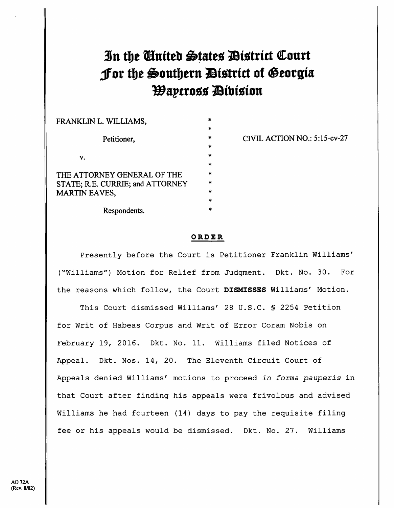## In the Cinited States District Court Jor the Southern District of Georgia *Wapcross Dibision*

| FRANKLIN L. WILLIAMS,            | ж       |
|----------------------------------|---------|
|                                  |         |
| Petitioner,                      | $\star$ |
|                                  | ŵ       |
| V.                               | 米       |
|                                  | ×       |
| THE ATTORNEY GENERAL OF THE      | Ŵ       |
| STATE; R.E. CURRIE; and ATTORNEY | ÷       |
| <b>MARTIN EAVES,</b>             | ÷       |
|                                  | Ŵ       |
| Respondents.                     |         |

CIVIL ACTION NO.: 5:15-cv-27

[Dockets.Justia.com](https://dockets.justia.com/)

## ORDER

Presently before the Court is Petitioner Franklin Williams' ("Williams") Motion for Relief from Judgment. Dkt. No. 30. For the reasons which follow, the Court DISMISSES Williams' Motion.

This Court dismissed Williams' 28 U.S.C. § 2254 Petition for Writ of Habeas Corpus and Writ of Error Coram Nobis on February 19, 2016. Dkt. No. 11. Williams filed Notices of Appeal. Dkt. Nos. 14, 20. The Eleventh Circuit Court of Appeals denied Williams' motions to proceed in forma pauperis in that Court after finding his appeals were frivolous and advised Williams he had fourteen (14) days to pay the requisite filing fee or his appeals would be dismissed. Dkt. No. 27. Williams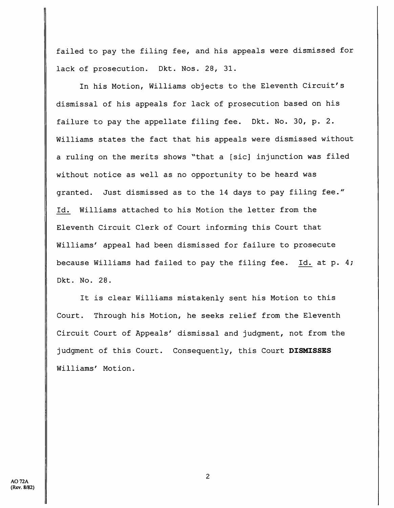failed to pay the filing fee, and his appeals were dismissed for lack of prosecution. Dkt. Nos. 28, 31.

In his Motion, Williams objects to the Eleventh Circuit's dismissal of his appeals for lack of prosecution based on his failure to pay the appellate filing fee. Dkt. No. 30, p. 2. Williams states the fact that his appeals were dismissed without <sup>a</sup> ruling on the merits shows ^'that <sup>a</sup> [sic] injunction was filed without notice as well as no opportunity to be heard was granted. Just dismissed as to the <sup>14</sup> days to pay filing fee." Id. Williams attached to his Motion the letter from the Eleventh Circuit Clerk of Court informing this Court that Williams' appeal had been dismissed for failure to prosecute because Williams had failed to pay the filing fee. Id. at p. 4; Dkt. No. 28.

It is clear Williams mistakenly sent his Motion to this Court. Through his Motion, he seeks relief from the Eleventh Circuit Court of Appeals' dismissal and judgment, not from the judgment of this Court. Consequently, this Court DISMISSES Williams' Motion.

2